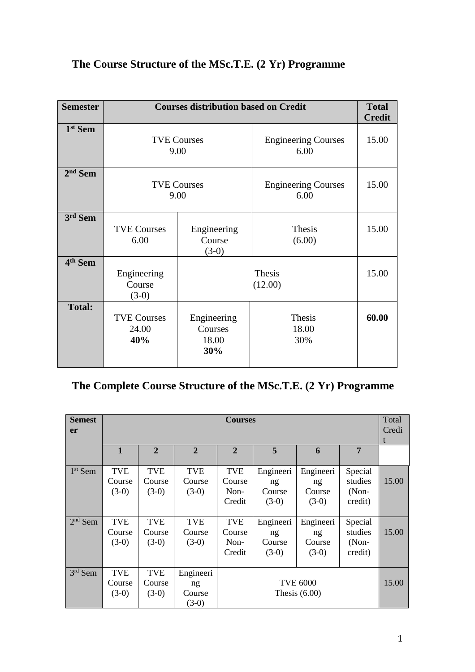| <b>Semester</b>     |                                    | <b>Courses distribution based on Credit</b> |                                    | <b>Total</b><br><b>Credit</b> |
|---------------------|------------------------------------|---------------------------------------------|------------------------------------|-------------------------------|
| 1 <sup>st</sup> Sem |                                    | <b>TVE Courses</b><br>9.00                  | <b>Engineering Courses</b><br>6.00 | 15.00                         |
| $2nd$ Sem           | <b>TVE Courses</b><br>9.00         |                                             | <b>Engineering Courses</b><br>6.00 | 15.00                         |
| $3rd$ Sem           | <b>TVE Courses</b><br>6.00         | Engineering<br>Course<br>$(3-0)$            | Thesis<br>(6.00)                   | 15.00                         |
| 4 <sup>th</sup> Sem | Engineering<br>Course<br>$(3-0)$   | Thesis<br>(12.00)                           |                                    | 15.00                         |
| <b>Total:</b>       | <b>TVE Courses</b><br>24.00<br>40% | Engineering<br>Courses<br>18.00<br>30%      | Thesis<br>18.00<br>30%             | 60.00                         |

# **The Course Structure of the MSc.T.E. (2 Yr) Programme**

# **The Complete Course Structure of the MSc.T.E. (2 Yr) Programme**

| <b>Semest</b><br><b>er</b> | <b>Courses</b>                  |                                 |                                      |                                          |                                      |                                      | Total<br>Credi<br>t                      |       |
|----------------------------|---------------------------------|---------------------------------|--------------------------------------|------------------------------------------|--------------------------------------|--------------------------------------|------------------------------------------|-------|
|                            | $\mathbf{1}$                    | $\mathbf{2}$                    | $\overline{2}$                       | $\overline{2}$                           | 5                                    | 6                                    | 7                                        |       |
| $1st$ Sem                  | <b>TVE</b><br>Course<br>$(3-0)$ | <b>TVE</b><br>Course<br>$(3-0)$ | <b>TVE</b><br>Course<br>$(3-0)$      | <b>TVE</b><br>Course<br>$Non-$<br>Credit | Engineeri<br>ng<br>Course<br>$(3-0)$ | Engineeri<br>ng<br>Course<br>$(3-0)$ | Special<br>studies<br>$(Non-$<br>credit) | 15.00 |
| $2nd$ Sem                  | <b>TVE</b><br>Course<br>$(3-0)$ | <b>TVE</b><br>Course<br>$(3-0)$ | <b>TVE</b><br>Course<br>$(3-0)$      | <b>TVE</b><br>Course<br>Non-<br>Credit   | Engineeri<br>ng<br>Course<br>$(3-0)$ | Engineeri<br>ng<br>Course<br>$(3-0)$ | Special<br>studies<br>(Non-<br>credit)   | 15.00 |
| $3rd$ Sem                  | <b>TVE</b><br>Course<br>$(3-0)$ | <b>TVE</b><br>Course<br>$(3-0)$ | Engineeri<br>ng<br>Course<br>$(3-0)$ | <b>TVE 6000</b><br>Thesis $(6.00)$       |                                      |                                      | 15.00                                    |       |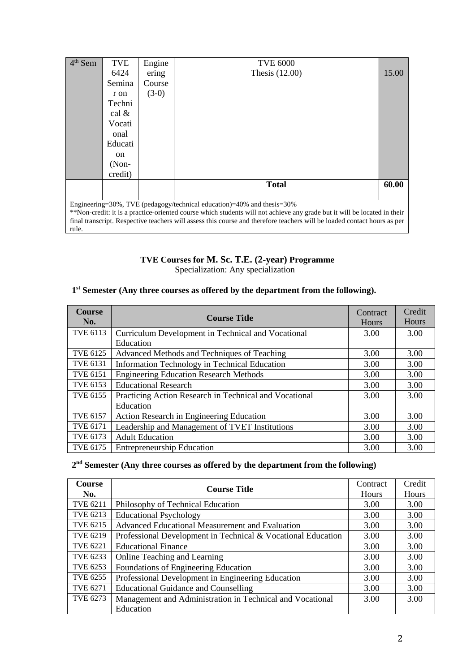| $4th$ Sem                                                                                                                | <b>TVE</b>    | Engine  | <b>TVE 6000</b>                                                                                                          |       |  |  |
|--------------------------------------------------------------------------------------------------------------------------|---------------|---------|--------------------------------------------------------------------------------------------------------------------------|-------|--|--|
|                                                                                                                          | 6424          | ering   | Thesis $(12.00)$                                                                                                         | 15.00 |  |  |
|                                                                                                                          | Semina        | Course  |                                                                                                                          |       |  |  |
|                                                                                                                          | r on          | $(3-0)$ |                                                                                                                          |       |  |  |
|                                                                                                                          | Techni        |         |                                                                                                                          |       |  |  |
|                                                                                                                          | cal $\&$      |         |                                                                                                                          |       |  |  |
|                                                                                                                          | Vocati        |         |                                                                                                                          |       |  |  |
|                                                                                                                          | onal          |         |                                                                                                                          |       |  |  |
|                                                                                                                          | Educati       |         |                                                                                                                          |       |  |  |
|                                                                                                                          | <sub>on</sub> |         |                                                                                                                          |       |  |  |
|                                                                                                                          | $(Non-$       |         |                                                                                                                          |       |  |  |
|                                                                                                                          | credit)       |         |                                                                                                                          |       |  |  |
|                                                                                                                          |               |         | <b>Total</b>                                                                                                             | 60.00 |  |  |
|                                                                                                                          |               |         |                                                                                                                          |       |  |  |
| Engineering=30%, TVE (pedagogy/technical education)=40% and thesis=30%                                                   |               |         |                                                                                                                          |       |  |  |
| **Non-credit: it is a practice-oriented course which students will not achieve any grade but it will be located in their |               |         |                                                                                                                          |       |  |  |
|                                                                                                                          |               |         | final transcript. Respective teachers will assess this course and therefore teachers will be loaded contact hours as per |       |  |  |
| rule.                                                                                                                    |               |         |                                                                                                                          |       |  |  |

# **TVE Courses for M. Sc. T.E. (2-year) Programme** Specialization: Any specialization

#### **1 st Semester (Any three courses as offered by the department from the following).**

| <b>Course</b><br>No. | <b>Course Title</b>                                    | Contract<br>Hours | Credit<br>Hours |
|----------------------|--------------------------------------------------------|-------------------|-----------------|
| TVE 6113             | Curriculum Development in Technical and Vocational     | 3.00              | 3.00            |
|                      | Education                                              |                   |                 |
| <b>TVE 6125</b>      | Advanced Methods and Techniques of Teaching            | 3.00              | 3.00            |
| <b>TVE 6131</b>      | Information Technology in Technical Education          | 3.00              | 3.00            |
| <b>TVE 6151</b>      | <b>Engineering Education Research Methods</b>          | 3.00              | 3.00            |
| <b>TVE 6153</b>      | <b>Educational Research</b>                            | 3.00              | 3.00            |
| <b>TVE 6155</b>      | Practicing Action Research in Technical and Vocational | 3.00              | 3.00            |
|                      | Education                                              |                   |                 |
| <b>TVE 6157</b>      | Action Research in Engineering Education               | 3.00              | 3.00            |
| <b>TVE 6171</b>      | Leadership and Management of TVET Institutions         | 3.00              | 3.00            |
| TVE 6173             | <b>Adult Education</b>                                 | 3.00              | 3.00            |
| <b>TVE 6175</b>      | <b>Entrepreneurship Education</b>                      | 3.00              | 3.00            |

#### **2 nd Semester (Any three courses as offered by the department from the following)**

| <b>Course</b>   | <b>Course Title</b>                                          | Contract | Credit |
|-----------------|--------------------------------------------------------------|----------|--------|
| No.             |                                                              | Hours    | Hours  |
| <b>TVE 6211</b> | Philosophy of Technical Education                            | 3.00     | 3.00   |
| <b>TVE 6213</b> | <b>Educational Psychology</b>                                | 3.00     | 3.00   |
| <b>TVE 6215</b> | Advanced Educational Measurement and Evaluation              | 3.00     | 3.00   |
| <b>TVE 6219</b> | Professional Development in Technical & Vocational Education | 3.00     | 3.00   |
| <b>TVE 6221</b> | <b>Educational Finance</b>                                   | 3.00     | 3.00   |
| TVE 6233        | Online Teaching and Learning                                 | 3.00     | 3.00   |
| <b>TVE 6253</b> | Foundations of Engineering Education                         | 3.00     | 3.00   |
| <b>TVE 6255</b> | Professional Development in Engineering Education            | 3.00     | 3.00   |
| <b>TVE 6271</b> | <b>Educational Guidance and Counselling</b>                  | 3.00     | 3.00   |
| TVE 6273        | Management and Administration in Technical and Vocational    | 3.00     | 3.00   |
|                 | Education                                                    |          |        |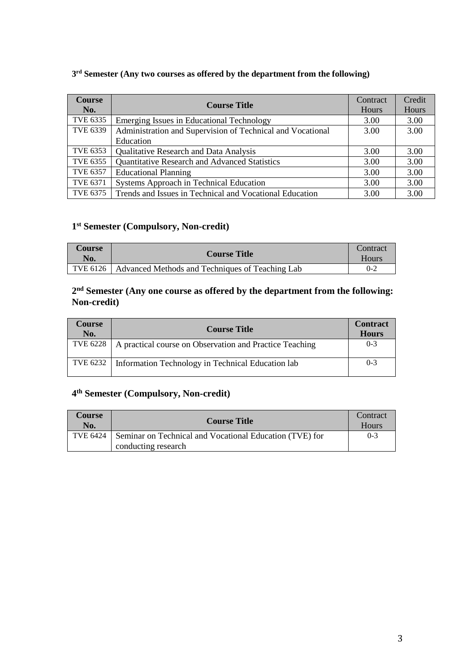| <b>Course</b><br>No. | <b>Course Title</b>                                        | Contract<br>Hours | Credit<br><b>Hours</b> |
|----------------------|------------------------------------------------------------|-------------------|------------------------|
| TVE 6335             | Emerging Issues in Educational Technology                  | 3.00              | 3.00                   |
| <b>TVE 6339</b>      | Administration and Supervision of Technical and Vocational | 3.00              | 3.00                   |
|                      | Education                                                  |                   |                        |
| <b>TVE 6353</b>      | Qualitative Research and Data Analysis                     | 3.00              | 3.00                   |
| <b>TVE 6355</b>      | Quantitative Research and Advanced Statistics              | 3.00              | 3.00                   |
| <b>TVE 6357</b>      | <b>Educational Planning</b>                                | 3.00              | 3.00                   |
| <b>TVE 6371</b>      | Systems Approach in Technical Education                    | 3.00              | 3.00                   |
| <b>TVE 6375</b>      | Trends and Issues in Technical and Vocational Education    | 3.00              | 3.00                   |

# **3 rd Semester (Any two courses as offered by the department from the following)**

# **1 st Semester (Compulsory, Non-credit)**

| <b>Course</b><br>No. | <b>Course Title</b>                             | Contract<br>Hours |
|----------------------|-------------------------------------------------|-------------------|
| TVE 6126             | Advanced Methods and Techniques of Teaching Lab | $0 - 2$           |

# **2 nd Semester (Any one course as offered by the department from the following: Non-credit)**

| <b>Course</b><br>No. | <b>Course Title</b>                                                | <b>Contract</b><br><b>Hours</b> |
|----------------------|--------------------------------------------------------------------|---------------------------------|
|                      | TVE 6228   A practical course on Observation and Practice Teaching | $0 - 3$                         |
|                      | TVE 6232   Information Technology in Technical Education lab       | $0 - 3$                         |

# **4 th Semester (Compulsory, Non-credit)**

| Course<br>No. | <b>Course Title</b>                                                                       | Contract<br><b>Hours</b> |
|---------------|-------------------------------------------------------------------------------------------|--------------------------|
|               | TVE 6424   Seminar on Technical and Vocational Education (TVE) for<br>conducting research | $0-3$                    |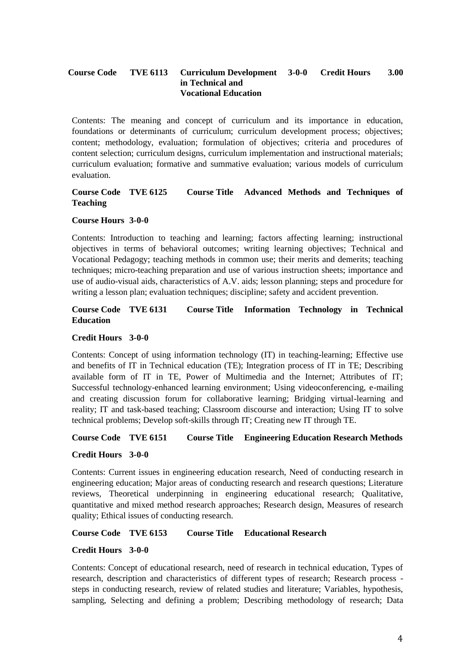#### **Course Code TVE 6113 Curriculum Development in Technical and Vocational Education 3-0-0 Credit Hours 3.00**

Contents: The meaning and concept of curriculum and its importance in education, foundations or determinants of curriculum; curriculum development process; objectives; content; methodology, evaluation; formulation of objectives; criteria and procedures of content selection; curriculum designs, curriculum implementation and instructional materials; curriculum evaluation; formative and summative evaluation; various models of curriculum evaluation.

# **Course Code TVE 6125 Course Title Advanced Methods and Techniques of Teaching**

#### **Course Hours 3-0-0**

Contents: Introduction to teaching and learning; factors affecting learning; instructional objectives in terms of behavioral outcomes; writing learning objectives; Technical and Vocational Pedagogy; teaching methods in common use; their merits and demerits; teaching techniques; micro-teaching preparation and use of various instruction sheets; importance and use of audio-visual aids, characteristics of A.V. aids; lesson planning; steps and procedure for writing a lesson plan; evaluation techniques; discipline; safety and accident prevention.

# **Course Code TVE 6131 Course Title Information Technology in Technical Education**

#### **Credit Hours 3-0-0**

Contents: Concept of using information technology (IT) in teaching-learning; Effective use and benefits of IT in Technical education (TE); Integration process of IT in TE; Describing available form of IT in TE, Power of Multimedia and the Internet; Attributes of IT; Successful technology-enhanced learning environment; Using videoconferencing, e-mailing and creating discussion forum for collaborative learning; Bridging virtual-learning and reality; IT and task-based teaching; Classroom discourse and interaction; Using IT to solve technical problems; Develop soft-skills through IT; Creating new IT through TE.

# **Course Code TVE 6151 Course Title Engineering Education Research Methods**

#### **Credit Hours 3-0-0**

Contents: Current issues in engineering education research, Need of conducting research in engineering education; Major areas of conducting research and research questions; Literature reviews, Theoretical underpinning in engineering educational research; Qualitative, quantitative and mixed method research approaches; Research design, Measures of research quality; Ethical issues of conducting research.

**Course Code TVE 6153 Course Title Educational Research**

#### **Credit Hours 3-0-0**

Contents: Concept of educational research, need of research in technical education, Types of research, description and characteristics of different types of research; Research process steps in conducting research, review of related studies and literature; Variables, hypothesis, sampling, Selecting and defining a problem; Describing methodology of research; Data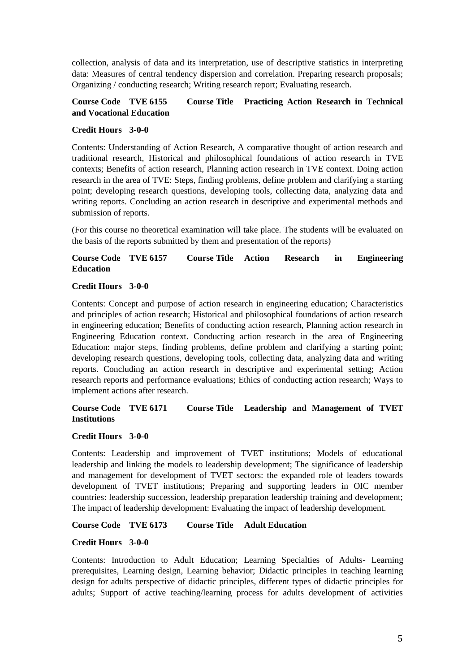collection, analysis of data and its interpretation, use of descriptive statistics in interpreting data: Measures of central tendency dispersion and correlation. Preparing research proposals; Organizing / conducting research; Writing research report; Evaluating research.

# **Course Code TVE 6155 Course Title Practicing Action Research in Technical and Vocational Education**

# **Credit Hours 3-0-0**

Contents: Understanding of Action Research, A comparative thought of action research and traditional research, Historical and philosophical foundations of action research in TVE contexts; Benefits of action research, Planning action research in TVE context. Doing action research in the area of TVE: Steps, finding problems, define problem and clarifying a starting point; developing research questions, developing tools, collecting data, analyzing data and writing reports. Concluding an action research in descriptive and experimental methods and submission of reports.

(For this course no theoretical examination will take place. The students will be evaluated on the basis of the reports submitted by them and presentation of the reports)

# **Course Code TVE 6157 Course Title Action Research in Engineering Education**

# **Credit Hours 3-0-0**

Contents: Concept and purpose of action research in engineering education; Characteristics and principles of action research; Historical and philosophical foundations of action research in engineering education; Benefits of conducting action research, Planning action research in Engineering Education context. Conducting action research in the area of Engineering Education: major steps, finding problems, define problem and clarifying a starting point; developing research questions, developing tools, collecting data, analyzing data and writing reports. Concluding an action research in descriptive and experimental setting; Action research reports and performance evaluations; Ethics of conducting action research; Ways to implement actions after research.

# **Course Code TVE 6171 Course Title Leadership and Management of TVET Institutions**

#### **Credit Hours 3-0-0**

Contents: Leadership and improvement of TVET institutions; Models of educational leadership and linking the models to leadership development; The significance of leadership and management for development of TVET sectors: the expanded role of leaders towards development of TVET institutions; Preparing and supporting leaders in OIC member countries: leadership succession, leadership preparation leadership training and development; The impact of leadership development: Evaluating the impact of leadership development.

# **Course Code TVE 6173 Course Title Adult Education**

#### **Credit Hours 3-0-0**

Contents: Introduction to Adult Education; Learning Specialties of Adults- Learning prerequisites, Learning design, Learning behavior; Didactic principles in teaching learning design for adults perspective of didactic principles, different types of didactic principles for adults; Support of active teaching/learning process for adults development of activities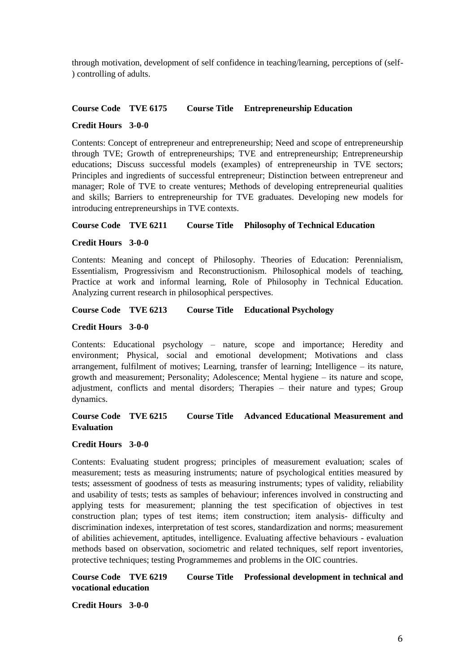through motivation, development of self confidence in teaching/learning, perceptions of (self- ) controlling of adults.

#### **Course Code TVE 6175 Course Title Entrepreneurship Education**

#### **Credit Hours 3-0-0**

Contents: Concept of entrepreneur and entrepreneurship; Need and scope of entrepreneurship through TVE; Growth of entrepreneurships; TVE and entrepreneurship; Entrepreneurship educations; Discuss successful models (examples) of entrepreneurship in TVE sectors; Principles and ingredients of successful entrepreneur; Distinction between entrepreneur and manager; Role of TVE to create ventures; Methods of developing entrepreneurial qualities and skills; Barriers to entrepreneurship for TVE graduates. Developing new models for introducing entrepreneurships in TVE contexts.

#### **Course Code TVE 6211 Course Title Philosophy of Technical Education**

#### **Credit Hours 3-0-0**

Contents: Meaning and concept of Philosophy. Theories of Education: Perennialism, Essentialism, Progressivism and Reconstructionism. Philosophical models of teaching, Practice at work and informal learning, Role of Philosophy in Technical Education. Analyzing current research in philosophical perspectives.

# **Course Code TVE 6213 Course Title Educational Psychology**

#### **Credit Hours 3-0-0**

Contents: Educational psychology – nature, scope and importance; Heredity and environment; Physical, social and emotional development; Motivations and class arrangement, fulfilment of motives; Learning, transfer of learning; Intelligence – its nature, growth and measurement; Personality; Adolescence; Mental hygiene – its nature and scope, adjustment, conflicts and mental disorders; Therapies – their nature and types; Group dynamics.

# **Course Code TVE 6215 Course Title Advanced Educational Measurement and Evaluation**

#### **Credit Hours 3-0-0**

Contents: Evaluating student progress; principles of measurement evaluation; scales of measurement; tests as measuring instruments; nature of psychological entities measured by tests; assessment of goodness of tests as measuring instruments; types of validity, reliability and usability of tests; tests as samples of behaviour; inferences involved in constructing and applying tests for measurement; planning the test specification of objectives in test construction plan; types of test items; item construction; item analysis- difficulty and discrimination indexes, interpretation of test scores, standardization and norms; measurement of abilities achievement, aptitudes, intelligence. Evaluating affective behaviours - evaluation methods based on observation, sociometric and related techniques, self report inventories, protective techniques; testing Programmemes and problems in the OIC countries.

**Course Code TVE 6219 Course Title Professional development in technical and vocational education**

**Credit Hours 3-0-0**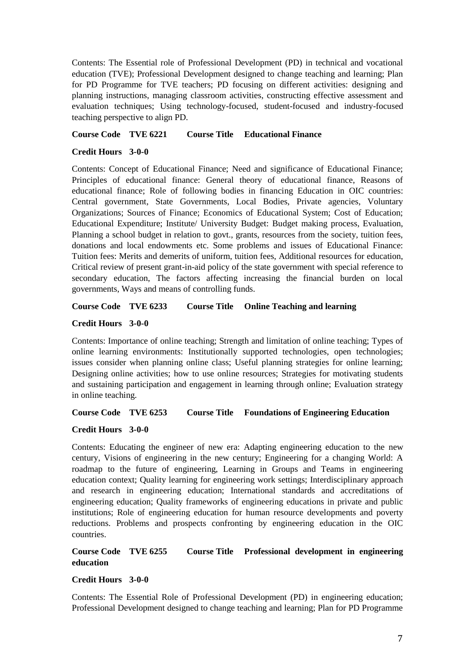Contents: The Essential role of Professional Development (PD) in technical and vocational education (TVE); Professional Development designed to change teaching and learning; Plan for PD Programme for TVE teachers; PD focusing on different activities: designing and planning instructions, managing classroom activities, constructing effective assessment and evaluation techniques; Using technology-focused, student-focused and industry-focused teaching perspective to align PD.

**Course Code TVE 6221 Course Title Educational Finance** 

# **Credit Hours 3-0-0**

Contents: Concept of Educational Finance; Need and significance of Educational Finance; Principles of educational finance: General theory of educational finance, Reasons of educational finance; Role of following bodies in financing Education in OIC countries: Central government, State Governments, Local Bodies, Private agencies, Voluntary Organizations; Sources of Finance; Economics of Educational System; Cost of Education; Educational Expenditure; Institute/ University Budget: Budget making process, Evaluation, Planning a school budget in relation to govt., grants, resources from the society, tuition fees, donations and local endowments etc. Some problems and issues of Educational Finance: Tuition fees: Merits and demerits of uniform, tuition fees, Additional resources for education, Critical review of present grant-in-aid policy of the state government with special reference to secondary education, The factors affecting increasing the financial burden on local governments, Ways and means of controlling funds.

**Course Code TVE 6233 Course Title Online Teaching and learning**

# **Credit Hours 3-0-0**

Contents: Importance of online teaching; Strength and limitation of online teaching; Types of online learning environments: Institutionally supported technologies, open technologies; issues consider when planning online class; Useful planning strategies for online learning; Designing online activities; how to use online resources; Strategies for motivating students and sustaining participation and engagement in learning through online; Evaluation strategy in online teaching.

**Course Code TVE 6253 Course Title Foundations of Engineering Education**

#### **Credit Hours 3-0-0**

Contents: Educating the engineer of new era: Adapting engineering education to the new century, Visions of engineering in the new century; Engineering for a changing World: A roadmap to the future of engineering, Learning in Groups and Teams in engineering education context; Quality learning for engineering work settings; Interdisciplinary approach and research in engineering education; International standards and accreditations of engineering education; Quality frameworks of engineering educations in private and public institutions; Role of engineering education for human resource developments and poverty reductions. Problems and prospects confronting by engineering education in the OIC countries.

# **Course Code TVE 6255 Course Title Professional development in engineering education**

# **Credit Hours 3-0-0**

Contents: The Essential Role of Professional Development (PD) in engineering education; Professional Development designed to change teaching and learning; Plan for PD Programme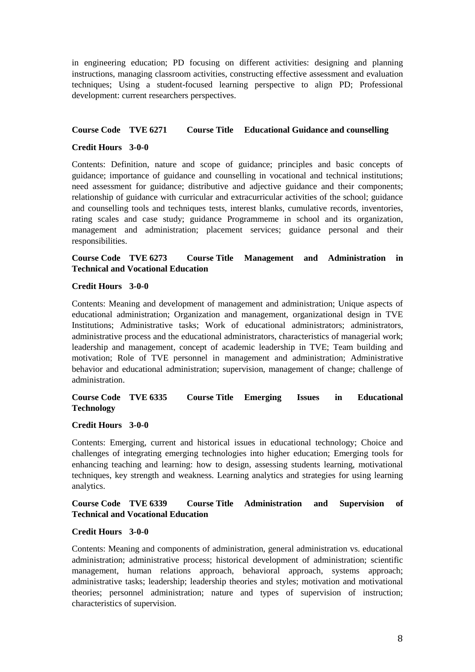in engineering education; PD focusing on different activities: designing and planning instructions, managing classroom activities, constructing effective assessment and evaluation techniques; Using a student-focused learning perspective to align PD; Professional development: current researchers perspectives.

# **Course Code TVE 6271 Course Title Educational Guidance and counselling**

#### **Credit Hours 3-0-0**

Contents: Definition, nature and scope of guidance; principles and basic concepts of guidance; importance of guidance and counselling in vocational and technical institutions; need assessment for guidance; distributive and adjective guidance and their components; relationship of guidance with curricular and extracurricular activities of the school; guidance and counselling tools and techniques tests, interest blanks, cumulative records, inventories, rating scales and case study; guidance Programmeme in school and its organization, management and administration; placement services; guidance personal and their responsibilities.

# **Course Code TVE 6273 Course Title Management and Administration in Technical and Vocational Education**

#### **Credit Hours 3-0-0**

Contents: Meaning and development of management and administration; Unique aspects of educational administration; Organization and management, organizational design in TVE Institutions; Administrative tasks; Work of educational administrators; administrators, administrative process and the educational administrators, characteristics of managerial work; leadership and management, concept of academic leadership in TVE; Team building and motivation; Role of TVE personnel in management and administration; Administrative behavior and educational administration; supervision, management of change; challenge of administration.

# **Course Code TVE 6335 Course Title Emerging Issues in Educational Technology**

#### **Credit Hours 3-0-0**

Contents: Emerging, current and historical issues in educational technology; Choice and challenges of integrating emerging technologies into higher education; Emerging tools for enhancing teaching and learning: how to design, assessing students learning, motivational techniques, key strength and weakness. Learning analytics and strategies for using learning analytics.

# **Course Code TVE 6339 Course Title Administration and Supervision of Technical and Vocational Education**

#### **Credit Hours 3-0-0**

Contents: Meaning and components of administration, general administration vs. educational administration; administrative process; historical development of administration; scientific management, human relations approach, behavioral approach, systems approach; administrative tasks; leadership; leadership theories and styles; motivation and motivational theories; personnel administration; nature and types of supervision of instruction; characteristics of supervision.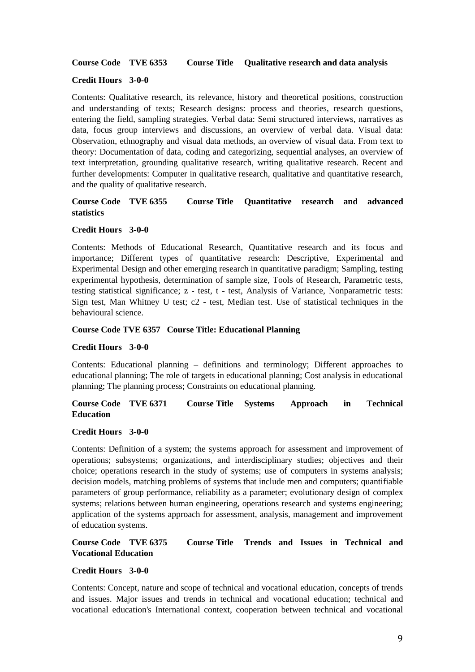#### **Course Code TVE 6353 Course Title Qualitative research and data analysis**

#### **Credit Hours 3-0-0**

Contents: Qualitative research, its relevance, history and theoretical positions, construction and understanding of texts; Research designs: process and theories, research questions, entering the field, sampling strategies. Verbal data: Semi structured interviews, narratives as data, focus group interviews and discussions, an overview of verbal data. Visual data: Observation, ethnography and visual data methods, an overview of visual data. From text to theory: Documentation of data, coding and categorizing, sequential analyses, an overview of text interpretation, grounding qualitative research, writing qualitative research. Recent and further developments: Computer in qualitative research, qualitative and quantitative research, and the quality of qualitative research.

# **Course Code TVE 6355 Course Title Quantitative research and advanced statistics**

#### **Credit Hours 3-0-0**

Contents: Methods of Educational Research, Quantitative research and its focus and importance; Different types of quantitative research: Descriptive, Experimental and Experimental Design and other emerging research in quantitative paradigm; Sampling, testing experimental hypothesis, determination of sample size, Tools of Research, Parametric tests, testing statistical significance; z - test, t - test, Analysis of Variance, Nonparametric tests: Sign test, Man Whitney U test; c2 - test, Median test. Use of statistical techniques in the behavioural science.

#### **Course Code TVE 6357 Course Title: Educational Planning**

#### **Credit Hours 3-0-0**

Contents: Educational planning – definitions and terminology; Different approaches to educational planning; The role of targets in educational planning; Cost analysis in educational planning; The planning process; Constraints on educational planning.

# **Course Code TVE 6371 Course Title Systems Approach in Technical Education**

#### **Credit Hours 3-0-0**

Contents: Definition of a system; the systems approach for assessment and improvement of operations; subsystems; organizations, and interdisciplinary studies; objectives and their choice; operations research in the study of systems; use of computers in systems analysis; decision models, matching problems of systems that include men and computers; quantifiable parameters of group performance, reliability as a parameter; evolutionary design of complex systems; relations between human engineering, operations research and systems engineering; application of the systems approach for assessment, analysis, management and improvement of education systems.

# **Course Code TVE 6375 Course Title Trends and Issues in Technical and Vocational Education**

#### **Credit Hours 3-0-0**

Contents: Concept, nature and scope of technical and vocational education, concepts of trends and issues. Major issues and trends in technical and vocational education; technical and vocational education's International context, cooperation between technical and vocational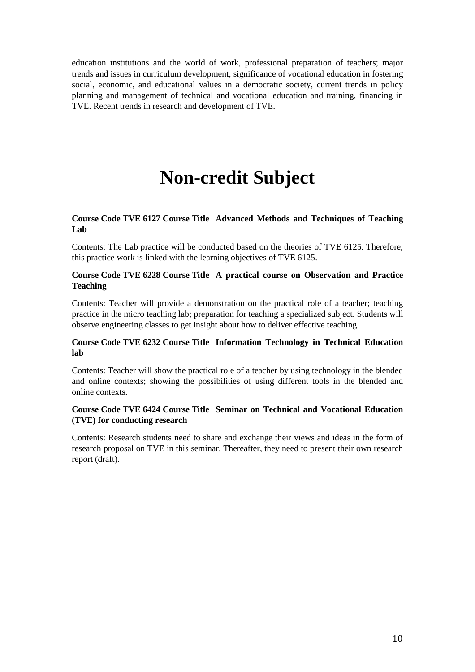education institutions and the world of work, professional preparation of teachers; major trends and issues in curriculum development, significance of vocational education in fostering social, economic, and educational values in a democratic society, current trends in policy planning and management of technical and vocational education and training, financing in TVE. Recent trends in research and development of TVE.

# **Non-credit Subject**

# **Course Code TVE 6127 Course Title Advanced Methods and Techniques of Teaching Lab**

Contents: The Lab practice will be conducted based on the theories of TVE 6125. Therefore, this practice work is linked with the learning objectives of TVE 6125.

# **Course Code TVE 6228 Course Title A practical course on Observation and Practice Teaching**

Contents: Teacher will provide a demonstration on the practical role of a teacher; teaching practice in the micro teaching lab; preparation for teaching a specialized subject. Students will observe engineering classes to get insight about how to deliver effective teaching.

# **Course Code TVE 6232 Course Title Information Technology in Technical Education lab**

Contents: Teacher will show the practical role of a teacher by using technology in the blended and online contexts; showing the possibilities of using different tools in the blended and online contexts.

# **Course Code TVE 6424 Course Title Seminar on Technical and Vocational Education (TVE) for conducting research**

Contents: Research students need to share and exchange their views and ideas in the form of research proposal on TVE in this seminar. Thereafter, they need to present their own research report (draft).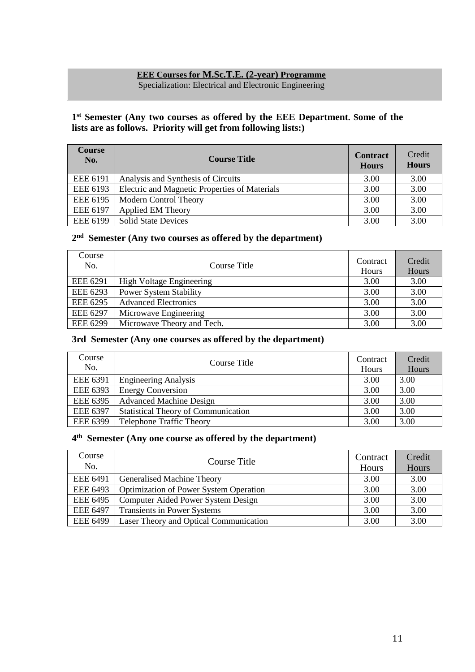# **EEE Courses for M.Sc.T.E. (2-year) Programme**

Specialization: Electrical and Electronic Engineering

# **1 st Semester (Any two courses as offered by the EEE Department. Some of the lists are as follows. Priority will get from following lists:)**

| <b>Course</b><br>No. | <b>Course Title</b>                           | <b>Contract</b><br><b>Hours</b> | Credit<br><b>Hours</b> |
|----------------------|-----------------------------------------------|---------------------------------|------------------------|
| <b>EEE 6191</b>      | Analysis and Synthesis of Circuits            | 3.00                            | 3.00                   |
| EEE 6193             | Electric and Magnetic Properties of Materials | 3.00                            | 3.00                   |
| EEE 6195             | <b>Modern Control Theory</b>                  | 3.00                            | 3.00                   |
| <b>EEE 6197</b>      | <b>Applied EM Theory</b>                      | 3.00                            | 3.00                   |
| <b>EEE 6199</b>      | <b>Solid State Devices</b>                    | 3.00                            | 3.00                   |

# **2 nd Semester (Any two courses as offered by the department)**

| Course<br>No.   | Course Title                    | Contract<br>Hours | Credit<br>Hours |
|-----------------|---------------------------------|-------------------|-----------------|
| <b>EEE 6291</b> | <b>High Voltage Engineering</b> | 3.00              | 3.00            |
| EEE 6293        | <b>Power System Stability</b>   | 3.00              | 3.00            |
| <b>EEE 6295</b> | <b>Advanced Electronics</b>     | 3.00              | 3.00            |
| <b>EEE 6297</b> | Microwave Engineering           | 3.00              | 3.00            |
| <b>EEE 6299</b> | Microwave Theory and Tech.      | 3.00              | 3.00            |

# **3rd Semester (Any one courses as offered by the department)**

| Course<br>No.   | Course Title                               | Contract<br>Hours | Credit<br>Hours |
|-----------------|--------------------------------------------|-------------------|-----------------|
| <b>EEE 6391</b> | <b>Engineering Analysis</b>                | 3.00              | 3.00            |
| EEE 6393        | <b>Energy Conversion</b>                   | 3.00              | 3.00            |
| <b>EEE 6395</b> | <b>Advanced Machine Design</b>             | 3.00              | 3.00            |
| <b>EEE 6397</b> | <b>Statistical Theory of Communication</b> | 3.00              | 3.00            |
| <b>EEE 6399</b> | <b>Telephone Traffic Theory</b>            | 3.00              | 3.00            |

# **4 th Semester (Any one course as offered by the department)**

| Course          | Course Title                                  | Contract | Credit |
|-----------------|-----------------------------------------------|----------|--------|
| No.             |                                               | Hours    | Hours  |
| <b>EEE 6491</b> | Generalised Machine Theory                    | 3.00     | 3.00   |
| <b>EEE 6493</b> | <b>Optimization of Power System Operation</b> | 3.00     | 3.00   |
| <b>EEE 6495</b> | Computer Aided Power System Design            | 3.00     | 3.00   |
| <b>EEE 6497</b> | <b>Transients in Power Systems</b>            | 3.00     | 3.00   |
| <b>EEE 6499</b> | Laser Theory and Optical Communication        | 3.00     | 3.00   |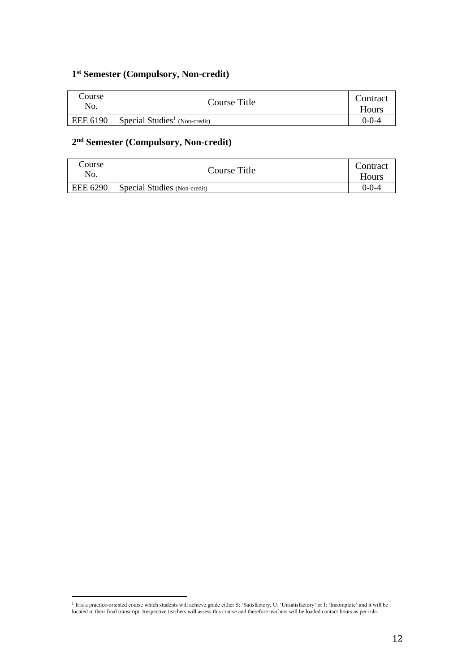# **1 st Semester (Compulsory, Non-credit)**

| Course<br>No. | Course Title                              | Contract<br>Hours |
|---------------|-------------------------------------------|-------------------|
| EEE 6190      | Special Studies <sup>1</sup> (Non-credit) | )-0-4             |

# **2 nd Semester (Compulsory, Non-credit)**

| Course<br>No. | Course Title                 | Contract<br>Hours |
|---------------|------------------------------|-------------------|
| EEE 6290      | Special Studies (Non-credit) | $0 - 0 - 4$       |

 $\overline{a}$ 

<sup>&</sup>lt;sup>1</sup> It is a practice-oriented course which students will achieve grade either S: 'Satisfactory, U: 'Unsatisfactory' or I: 'Incomplete' and it will be located in their final transcript. Respective teachers will assess this course and therefore teachers will be loaded contact hours as per rule.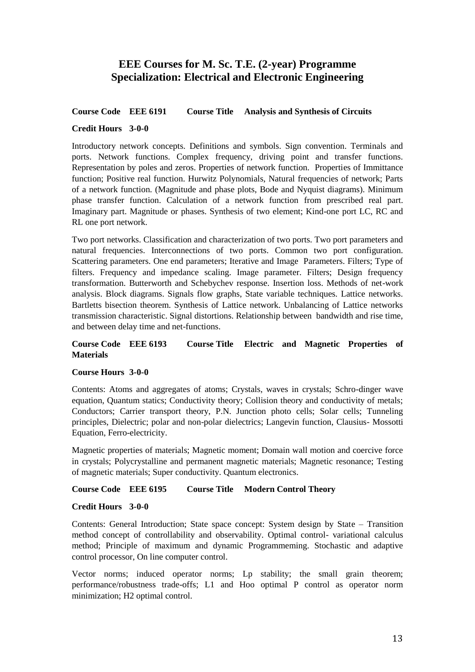# **EEE Courses for M. Sc. T.E. (2-year) Programme Specialization: Electrical and Electronic Engineering**

# **Course Code EEE 6191 Course Title Analysis and Synthesis of Circuits**

# **Credit Hours 3-0-0**

Introductory network concepts. Definitions and symbols. Sign convention. Terminals and ports. Network functions. Complex frequency, driving point and transfer functions. Representation by poles and zeros. Properties of network function. Properties of Immittance function; Positive real function. Hurwitz Polynomials, Natural frequencies of network; Parts of a network function. (Magnitude and phase plots, Bode and Nyquist diagrams). Minimum phase transfer function. Calculation of a network function from prescribed real part. Imaginary part. Magnitude or phases. Synthesis of two element; Kind-one port LC, RC and RL one port network.

Two port networks. Classification and characterization of two ports. Two port parameters and natural frequencies. Interconnections of two ports. Common two port configuration. Scattering parameters. One end parameters; Iterative and Image Parameters. Filters; Type of filters. Frequency and impedance scaling. Image parameter. Filters; Design frequency transformation. Butterworth and Schebychev response. Insertion loss. Methods of net-work analysis. Block diagrams. Signals flow graphs, State variable techniques. Lattice networks. Bartletts bisection theorem. Synthesis of Lattice network. Unbalancing of Lattice networks transmission characteristic. Signal distortions. Relationship between bandwidth and rise time, and between delay time and net-functions.

# **Course Code EEE 6193 Course Title Electric and Magnetic Properties of Materials**

#### **Course Hours 3-0-0**

Contents: Atoms and aggregates of atoms; Crystals, waves in crystals; Schro-dinger wave equation, Quantum statics; Conductivity theory; Collision theory and conductivity of metals; Conductors; Carrier transport theory, P.N. Junction photo cells; Solar cells; Tunneling principles, Dielectric; polar and non-polar dielectrics; Langevin function, Clausius- Mossotti Equation, Ferro-electricity.

Magnetic properties of materials; Magnetic moment; Domain wall motion and coercive force in crystals; Polycrystalline and permanent magnetic materials; Magnetic resonance; Testing of magnetic materials; Super conductivity. Quantum electronics.

# **Course Code EEE 6195 Course Title Modern Control Theory**

#### **Credit Hours 3-0-0**

Contents: General Introduction; State space concept: System design by State – Transition method concept of controllability and observability. Optimal control- variational calculus method; Principle of maximum and dynamic Programmeming. Stochastic and adaptive control processor, On line computer control.

Vector norms; induced operator norms; Lp stability; the small grain theorem; performance/robustness trade-offs; L1 and Hoo optimal P control as operator norm minimization; H2 optimal control.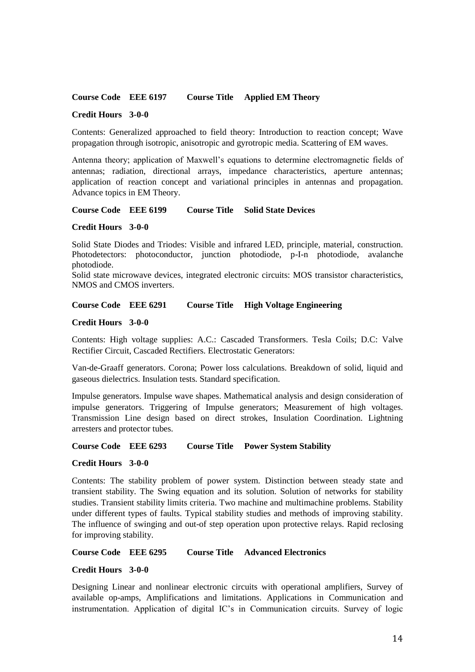#### **Course Code EEE 6197 Course Title Applied EM Theory**

#### **Credit Hours 3-0-0**

Contents: Generalized approached to field theory: Introduction to reaction concept; Wave propagation through isotropic, anisotropic and gyrotropic media. Scattering of EM waves.

Antenna theory; application of Maxwell's equations to determine electromagnetic fields of antennas; radiation, directional arrays, impedance characteristics, aperture antennas; application of reaction concept and variational principles in antennas and propagation. Advance topics in EM Theory.

**Course Code EEE 6199 Course Title Solid State Devices** 

#### **Credit Hours 3-0-0**

Solid State Diodes and Triodes: Visible and infrared LED, principle, material, construction. Photodetectors: photoconductor, junction photodiode, p-I-n photodiode, avalanche photodiode.

Solid state microwave devices, integrated electronic circuits: MOS transistor characteristics, NMOS and CMOS inverters.

#### **Course Code EEE 6291 Course Title High Voltage Engineering**

#### **Credit Hours 3-0-0**

Contents: High voltage supplies: A.C.: Cascaded Transformers. Tesla Coils; D.C: Valve Rectifier Circuit, Cascaded Rectifiers. Electrostatic Generators:

Van-de-Graaff generators. Corona; Power loss calculations. Breakdown of solid, liquid and gaseous dielectrics. Insulation tests. Standard specification.

Impulse generators. Impulse wave shapes. Mathematical analysis and design consideration of impulse generators. Triggering of Impulse generators; Measurement of high voltages. Transmission Line design based on direct strokes, Insulation Coordination. Lightning arresters and protector tubes.

#### **Course Code EEE 6293 Course Title Power System Stability**

#### **Credit Hours 3-0-0**

Contents: The stability problem of power system. Distinction between steady state and transient stability. The Swing equation and its solution. Solution of networks for stability studies. Transient stability limits criteria. Two machine and multimachine problems. Stability under different types of faults. Typical stability studies and methods of improving stability. The influence of swinging and out-of step operation upon protective relays. Rapid reclosing for improving stability.

**Course Code EEE 6295 Course Title Advanced Electronics** 

#### **Credit Hours 3-0-0**

Designing Linear and nonlinear electronic circuits with operational amplifiers, Survey of available op-amps, Amplifications and limitations. Applications in Communication and instrumentation. Application of digital IC's in Communication circuits. Survey of logic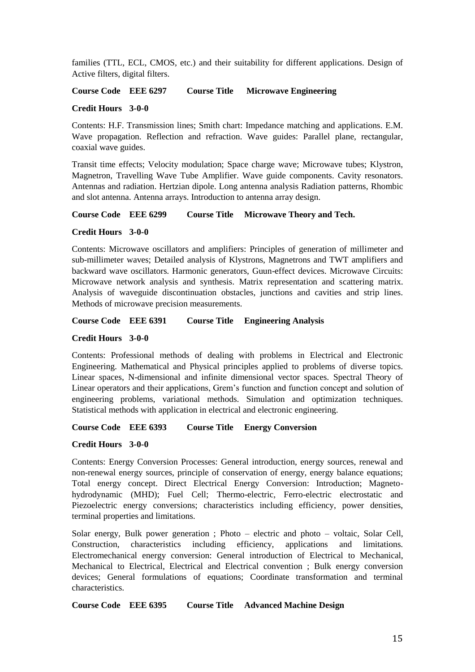families (TTL, ECL, CMOS, etc.) and their suitability for different applications. Design of Active filters, digital filters.

**Course Code EEE 6297 Course Title Microwave Engineering**

#### **Credit Hours 3-0-0**

Contents: H.F. Transmission lines; Smith chart: Impedance matching and applications. E.M. Wave propagation. Reflection and refraction. Wave guides: Parallel plane, rectangular, coaxial wave guides.

Transit time effects; Velocity modulation; Space charge wave; Microwave tubes; Klystron, Magnetron, Travelling Wave Tube Amplifier. Wave guide components. Cavity resonators. Antennas and radiation. Hertzian dipole. Long antenna analysis Radiation patterns, Rhombic and slot antenna. Antenna arrays. Introduction to antenna array design.

# **Course Code EEE 6299 Course Title Microwave Theory and Tech.**

#### **Credit Hours 3-0-0**

Contents: Microwave oscillators and amplifiers: Principles of generation of millimeter and sub-millimeter waves; Detailed analysis of Klystrons, Magnetrons and TWT amplifiers and backward wave oscillators. Harmonic generators, Guun-effect devices. Microwave Circuits: Microwave network analysis and synthesis. Matrix representation and scattering matrix. Analysis of waveguide discontinuation obstacles, junctions and cavities and strip lines. Methods of microwave precision measurements.

#### **Course Code EEE 6391 Course Title Engineering Analysis**

#### **Credit Hours 3-0-0**

Contents: Professional methods of dealing with problems in Electrical and Electronic Engineering. Mathematical and Physical principles applied to problems of diverse topics. Linear spaces, N-dimensional and infinite dimensional vector spaces. Spectral Theory of Linear operators and their applications, Grem's function and function concept and solution of engineering problems, variational methods. Simulation and optimization techniques. Statistical methods with application in electrical and electronic engineering.

#### **Course Code EEE 6393 Course Title Energy Conversion**

#### **Credit Hours 3-0-0**

Contents: Energy Conversion Processes: General introduction, energy sources, renewal and non-renewal energy sources, principle of conservation of energy, energy balance equations; Total energy concept. Direct Electrical Energy Conversion: Introduction; Magnetohydrodynamic (MHD); Fuel Cell; Thermo-electric, Ferro-electric electrostatic and Piezoelectric energy conversions; characteristics including efficiency, power densities, terminal properties and limitations.

Solar energy, Bulk power generation ; Photo – electric and photo – voltaic, Solar Cell, Construction, characteristics including efficiency, applications and limitations. Electromechanical energy conversion: General introduction of Electrical to Mechanical, Mechanical to Electrical, Electrical and Electrical convention ; Bulk energy conversion devices; General formulations of equations; Coordinate transformation and terminal characteristics.

**Course Code EEE 6395 Course Title Advanced Machine Design**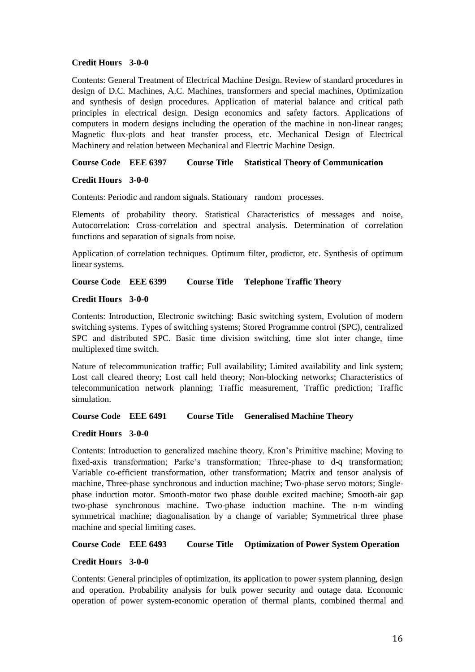#### **Credit Hours 3-0-0**

Contents: General Treatment of Electrical Machine Design. Review of standard procedures in design of D.C. Machines, A.C. Machines, transformers and special machines, Optimization and synthesis of design procedures. Application of material balance and critical path principles in electrical design. Design economics and safety factors. Applications of computers in modern designs including the operation of the machine in non-linear ranges; Magnetic flux-plots and heat transfer process, etc. Mechanical Design of Electrical Machinery and relation between Mechanical and Electric Machine Design.

**Course Code EEE 6397 Course Title Statistical Theory of Communication** 

#### **Credit Hours 3-0-0**

Contents: Periodic and random signals. Stationary random processes.

Elements of probability theory. Statistical Characteristics of messages and noise, Autocorrelation: Cross-correlation and spectral analysis. Determination of correlation functions and separation of signals from noise.

Application of correlation techniques. Optimum filter, prodictor, etc. Synthesis of optimum linear systems.

**Course Code EEE 6399 Course Title Telephone Traffic Theory** 

#### **Credit Hours 3-0-0**

Contents: Introduction, Electronic switching: Basic switching system, Evolution of modern switching systems. Types of switching systems; Stored Programme control (SPC), centralized SPC and distributed SPC. Basic time division switching, time slot inter change, time multiplexed time switch.

Nature of telecommunication traffic; Full availability; Limited availability and link system; Lost call cleared theory; Lost call held theory; Non-blocking networks; Characteristics of telecommunication network planning; Traffic measurement, Traffic prediction; Traffic simulation.

**Course Code EEE 6491 Course Title Generalised Machine Theory**

#### **Credit Hours 3-0-0**

Contents: Introduction to generalized machine theory. Kron's Primitive machine; Moving to fixed-axis transformation; Parke's transformation; Three-phase to d-q transformation; Variable co-efficient transformation, other transformation; Matrix and tensor analysis of machine, Three-phase synchronous and induction machine; Two-phase servo motors; Singlephase induction motor. Smooth-motor two phase double excited machine; Smooth-air gap two-phase synchronous machine. Two-phase induction machine. The n-m winding symmetrical machine; diagonalisation by a change of variable; Symmetrical three phase machine and special limiting cases.

**Course Code EEE 6493 Course Title Optimization of Power System Operation** 

#### **Credit Hours 3-0-0**

Contents: General principles of optimization, its application to power system planning, design and operation. Probability analysis for bulk power security and outage data. Economic operation of power system-economic operation of thermal plants, combined thermal and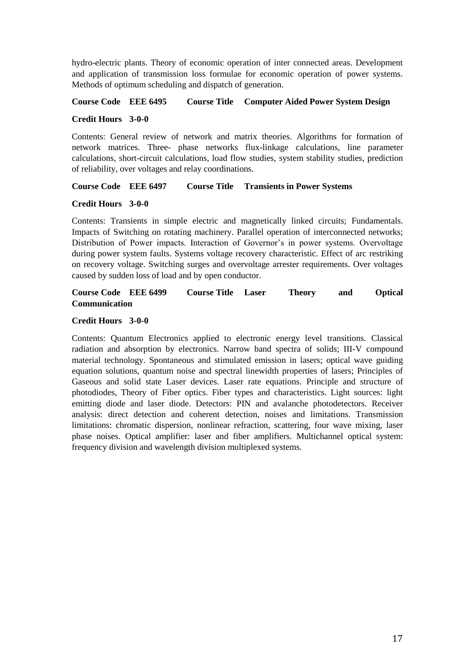hydro-electric plants. Theory of economic operation of inter connected areas. Development and application of transmission loss formulae for economic operation of power systems. Methods of optimum scheduling and dispatch of generation.

# **Course Code EEE 6495 Course Title Computer Aided Power System Design**

#### **Credit Hours 3-0-0**

Contents: General review of network and matrix theories. Algorithms for formation of network matrices. Three- phase networks flux-linkage calculations, line parameter calculations, short-circuit calculations, load flow studies, system stability studies, prediction of reliability, over voltages and relay coordinations.

# **Course Code EEE 6497 Course Title Transients in Power Systems**

# **Credit Hours 3-0-0**

Contents: Transients in simple electric and magnetically linked circuits; Fundamentals. Impacts of Switching on rotating machinery. Parallel operation of interconnected networks; Distribution of Power impacts. Interaction of Governor's in power systems. Overvoltage during power system faults. Systems voltage recovery characteristic. Effect of arc restriking on recovery voltage. Switching surges and overvoltage arrester requirements. Over voltages caused by sudden loss of load and by open conductor.

# **Course Code EEE 6499 Course Title Laser Theory and Optical Communication**

# **Credit Hours 3-0-0**

Contents: Quantum Electronics applied to electronic energy level transitions. Classical radiation and absorption by electronics. Narrow band spectra of solids; III-V compound material technology. Spontaneous and stimulated emission in lasers; optical wave guiding equation solutions, quantum noise and spectral linewidth properties of lasers; Principles of Gaseous and solid state Laser devices. Laser rate equations. Principle and structure of photodiodes, Theory of Fiber optics. Fiber types and characteristics. Light sources: light emitting diode and laser diode. Detectors: PIN and avalanche photodetectors. Receiver analysis: direct detection and coherent detection, noises and limitations. Transmission limitations: chromatic dispersion, nonlinear refraction, scattering, four wave mixing, laser phase noises. Optical amplifier: laser and fiber amplifiers. Multichannel optical system: frequency division and wavelength division multiplexed systems.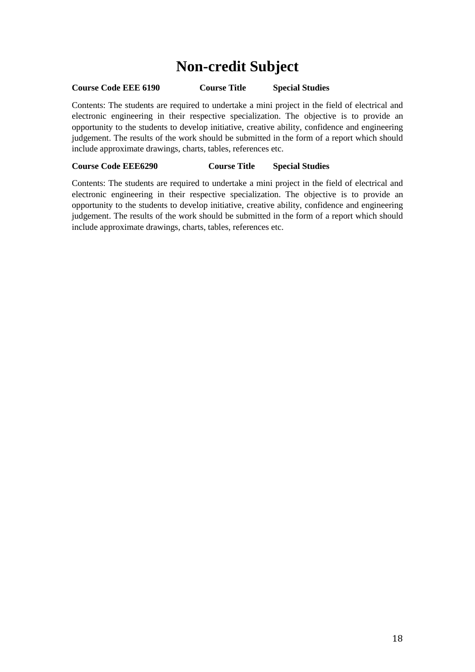# **Non-credit Subject**

# **Course Code EEE 6190 Course Title Special Studies**

Contents: The students are required to undertake a mini project in the field of electrical and electronic engineering in their respective specialization. The objective is to provide an opportunity to the students to develop initiative, creative ability, confidence and engineering judgement. The results of the work should be submitted in the form of a report which should include approximate drawings, charts, tables, references etc.

# **Course Code EEE6290 Course Title Special Studies**

Contents: The students are required to undertake a mini project in the field of electrical and electronic engineering in their respective specialization. The objective is to provide an opportunity to the students to develop initiative, creative ability, confidence and engineering judgement. The results of the work should be submitted in the form of a report which should include approximate drawings, charts, tables, references etc.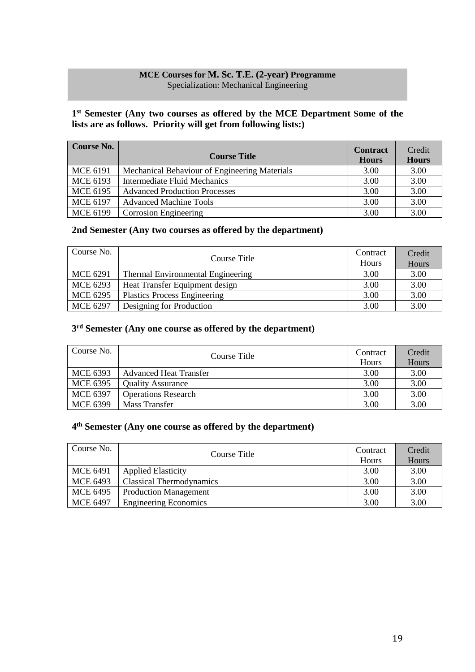# **MCE Courses for M. Sc. T.E. (2-year) Programme** Specialization: Mechanical Engineering

# **1 st Semester (Any two courses as offered by the MCE Department Some of the lists are as follows. Priority will get from following lists:)**

| <b>Course No.</b> | <b>Course Title</b>                           | <b>Contract</b><br><b>Hours</b> | Credit<br><b>Hours</b> |
|-------------------|-----------------------------------------------|---------------------------------|------------------------|
| <b>MCE 6191</b>   | Mechanical Behaviour of Engineering Materials | 3.00                            | 3.00                   |
| <b>MCE 6193</b>   | <b>Intermediate Fluid Mechanics</b>           | 3.00                            | 3.00                   |
| <b>MCE 6195</b>   | <b>Advanced Production Processes</b>          | 3.00                            | 3.00                   |
| <b>MCE 6197</b>   | <b>Advanced Machine Tools</b>                 | 3.00                            | 3.00                   |
| <b>MCE 6199</b>   | Corrosion Engineering                         | 3.00                            | 3.00                   |

# **2nd Semester (Any two courses as offered by the department)**

| Course No.      | Course Title                        | Contract<br><b>Hours</b> | Credit<br>Hours |
|-----------------|-------------------------------------|--------------------------|-----------------|
| <b>MCE 6291</b> | Thermal Environmental Engineering   | 3.00                     | 3.00            |
| MCE 6293        | Heat Transfer Equipment design      | 3.00                     | 3.00            |
| <b>MCE 6295</b> | <b>Plastics Process Engineering</b> | 3.00                     | 3.00            |
| <b>MCE 6297</b> | Designing for Production            | 3.00                     | 3.00            |

# **3 rd Semester (Any one course as offered by the department)**

| Course No.      | Course Title                  | Contract<br>Hours | Credit<br>Hours |
|-----------------|-------------------------------|-------------------|-----------------|
| MCE 6393        | <b>Advanced Heat Transfer</b> | 3.00              | 3.00            |
| <b>MCE 6395</b> | <b>Quality Assurance</b>      | 3.00              | 3.00            |
| <b>MCE 6397</b> | <b>Operations Research</b>    | 3.00              | 3.00            |
| <b>MCE 6399</b> | Mass Transfer                 | 3.00              | 3.00            |

# **4 th Semester (Any one course as offered by the department)**

| Course No.      | Course Title                 | Contract<br><b>Hours</b> | Credit<br>Hours |
|-----------------|------------------------------|--------------------------|-----------------|
| <b>MCE 6491</b> | <b>Applied Elasticity</b>    | 3.00                     | 3.00            |
| <b>MCE 6493</b> | Classical Thermodynamics     | 3.00                     | 3.00            |
| <b>MCE 6495</b> | <b>Production Management</b> | 3.00                     | 3.00            |
| <b>MCE 6497</b> | <b>Engineering Economics</b> | 3.00                     | 3.00            |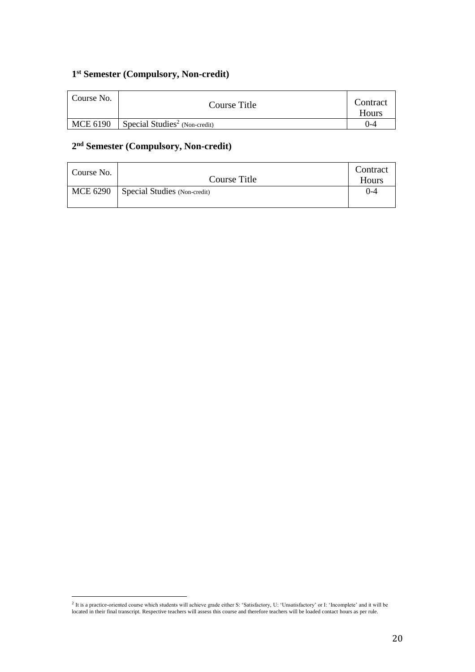# **1 st Semester (Compulsory, Non-credit)**

| Course No. | Course Title                              | Contract<br>Hours |
|------------|-------------------------------------------|-------------------|
| MCE 6190   | Special Studies <sup>2</sup> (Non-credit) | ')-4              |

# **2 nd Semester (Compulsory, Non-credit)**

| Course No. | Course Title                            | Contract<br>Hours |
|------------|-----------------------------------------|-------------------|
|            | $MCE 6290$ Special Studies (Non-credit) | $($ )-4           |

 2 It is a practice-oriented course which students will achieve grade either S: 'Satisfactory, U: 'Unsatisfactory' or I: 'Incomplete' and it will be located in their final transcript. Respective teachers will assess this course and therefore teachers will be loaded contact hours as per rule.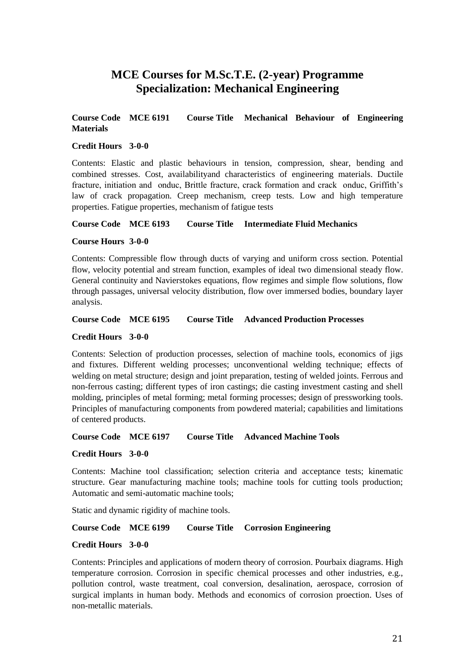# **MCE Courses for M.Sc.T.E. (2-year) Programme Specialization: Mechanical Engineering**

# **Course Code MCE 6191 Course Title Mechanical Behaviour of Engineering Materials**

#### **Credit Hours 3-0-0**

Contents: Elastic and plastic behaviours in tension, compression, shear, bending and combined stresses. Cost, availabilityand characteristics of engineering materials. Ductile fracture, initiation and onduc, Brittle fracture, crack formation and crack onduc, Griffith's law of crack propagation. Creep mechanism, creep tests. Low and high temperature properties. Fatigue properties, mechanism of fatigue tests

#### **Course Code MCE 6193 Course Title Intermediate Fluid Mechanics**

#### **Course Hours 3-0-0**

Contents: Compressible flow through ducts of varying and uniform cross section. Potential flow, velocity potential and stream function, examples of ideal two dimensional steady flow. General continuity and Navierstokes equations, flow regimes and simple flow solutions, flow through passages, universal velocity distribution, flow over immersed bodies, boundary layer analysis.

#### **Course Code MCE 6195 Course Title Advanced Production Processes**

#### **Credit Hours 3-0-0**

Contents: Selection of production processes, selection of machine tools, economics of jigs and fixtures. Different welding processes; unconventional welding technique; effects of welding on metal structure; design and joint preparation, testing of welded joints. Ferrous and non-ferrous casting; different types of iron castings; die casting investment casting and shell molding, principles of metal forming; metal forming processes; design of pressworking tools. Principles of manufacturing components from powdered material; capabilities and limitations of centered products.

**Course Code MCE 6197 Course Title Advanced Machine Tools**

#### **Credit Hours 3-0-0**

Contents: Machine tool classification; selection criteria and acceptance tests; kinematic structure. Gear manufacturing machine tools; machine tools for cutting tools production; Automatic and semi-automatic machine tools;

Static and dynamic rigidity of machine tools.

# **Course Code MCE 6199 Course Title Corrosion Engineering**

#### **Credit Hours 3-0-0**

Contents: Principles and applications of modern theory of corrosion. Pourbaix diagrams. High temperature corrosion. Corrosion in specific chemical processes and other industries, e.g., pollution control, waste treatment, coal conversion, desalination, aerospace, corrosion of surgical implants in human body. Methods and economics of corrosion proection. Uses of non-metallic materials.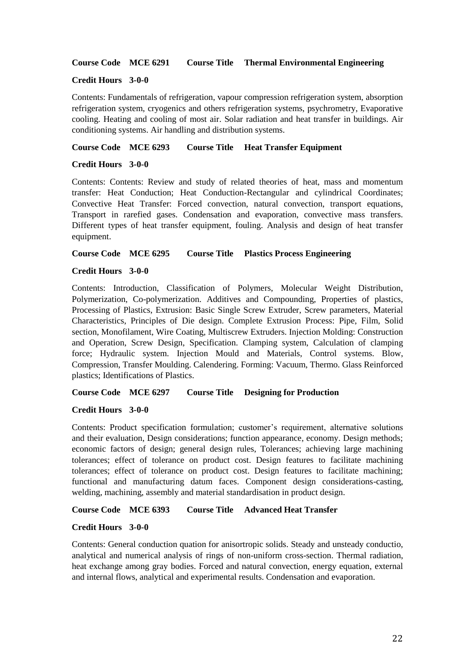#### **Course Code MCE 6291 Course Title Thermal Environmental Engineering**

#### **Credit Hours 3-0-0**

Contents: Fundamentals of refrigeration, vapour compression refrigeration system, absorption refrigeration system, cryogenics and others refrigeration systems, psychrometry, Evaporative cooling. Heating and cooling of most air. Solar radiation and heat transfer in buildings. Air conditioning systems. Air handling and distribution systems.

#### **Course Code MCE 6293 Course Title Heat Transfer Equipment**

#### **Credit Hours 3-0-0**

Contents: Contents: Review and study of related theories of heat, mass and momentum transfer: Heat Conduction; Heat Conduction-Rectangular and cylindrical Coordinates; Convective Heat Transfer: Forced convection, natural convection, transport equations, Transport in rarefied gases. Condensation and evaporation, convective mass transfers. Different types of heat transfer equipment, fouling. Analysis and design of heat transfer equipment.

#### **Course Code MCE 6295 Course Title Plastics Process Engineering**

#### **Credit Hours 3-0-0**

Contents: Introduction, Classification of Polymers, Molecular Weight Distribution, Polymerization, Co-polymerization. Additives and Compounding, Properties of plastics, Processing of Plastics, Extrusion: Basic Single Screw Extruder, Screw parameters, Material Characteristics, Principles of Die design. Complete Extrusion Process: Pipe, Film, Solid section, Monofilament, Wire Coating, Multiscrew Extruders. Injection Molding: Construction and Operation, Screw Design, Specification. Clamping system, Calculation of clamping force; Hydraulic system. Injection Mould and Materials, Control systems. Blow, Compression, Transfer Moulding. Calendering. Forming: Vacuum, Thermo. Glass Reinforced plastics; Identifications of Plastics.

#### **Course Code MCE 6297 Course Title Designing for Production**

#### **Credit Hours 3-0-0**

Contents: Product specification formulation; customer's requirement, alternative solutions and their evaluation, Design considerations; function appearance, economy. Design methods; economic factors of design; general design rules, Tolerances; achieving large machining tolerances; effect of tolerance on product cost. Design features to facilitate machining tolerances; effect of tolerance on product cost. Design features to facilitate machining; functional and manufacturing datum faces. Component design considerations-casting, welding, machining, assembly and material standardisation in product design.

# **Course Code MCE 6393 Course Title Advanced Heat Transfer**

#### **Credit Hours 3-0-0**

Contents: General conduction quation for anisortropic solids. Steady and unsteady conductio, analytical and numerical analysis of rings of non-uniform cross-section. Thermal radiation, heat exchange among gray bodies. Forced and natural convection, energy equation, external and internal flows, analytical and experimental results. Condensation and evaporation.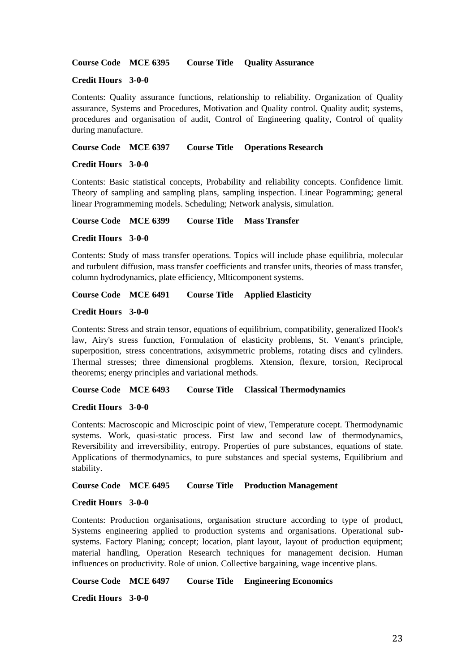**Course Code MCE 6395 Course Title Quality Assurance** 

#### **Credit Hours 3-0-0**

Contents: Quality assurance functions, relationship to reliability. Organization of Quality assurance, Systems and Procedures, Motivation and Quality control. Quality audit; systems, procedures and organisation of audit, Control of Engineering quality, Control of quality during manufacture.

#### **Course Code MCE 6397 Course Title Operations Research**

#### **Credit Hours 3-0-0**

Contents: Basic statistical concepts, Probability and reliability concepts. Confidence limit. Theory of sampling and sampling plans, sampling inspection. Linear Pogramming; general linear Programmeming models. Scheduling; Network analysis, simulation.

**Course Code MCE 6399 Course Title Mass Transfer** 

#### **Credit Hours 3-0-0**

Contents: Study of mass transfer operations. Topics will include phase equilibria, molecular and turbulent diffusion, mass transfer coefficients and transfer units, theories of mass transfer, column hydrodynamics, plate efficiency, Mlticomponent systems.

# **Course Code MCE 6491 Course Title Applied Elasticity**

#### **Credit Hours 3-0-0**

Contents: Stress and strain tensor, equations of equilibrium, compatibility, generalized Hook's law, Airy's stress function, Formulation of elasticity problems, St. Venant's principle, superposition, stress concentrations, axisymmetric problems, rotating discs and cylinders. Thermal stresses; three dimensional progblems. Xtension, flexure, torsion, Reciprocal theorems; energy principles and variational methods.

### **Course Code MCE 6493 Course Title Classical Thermodynamics**

#### **Credit Hours 3-0-0**

Contents: Macroscopic and Microscipic point of view, Temperature cocept. Thermodynamic systems. Work, quasi-static process. First law and second law of thermodynamics, Reversibility and irreversibility, entropy. Properties of pure substances, equations of state. Applications of thermodynamics, to pure substances and special systems, Equilibrium and stability.

#### **Course Code MCE 6495 Course Title Production Management**

#### **Credit Hours 3-0-0**

Contents: Production organisations, organisation structure according to type of product, Systems engineering applied to production systems and organisations. Operational subsystems. Factory Planing; concept; location, plant layout, layout of production equipment; material handling, Operation Research techniques for management decision. Human influences on productivity. Role of union. Collective bargaining, wage incentive plans.

**Course Code MCE 6497 Course Title Engineering Economics** 

**Credit Hours 3-0-0**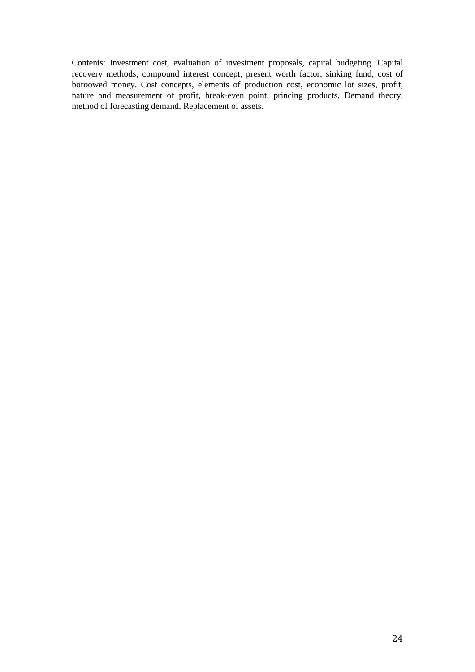Contents: Investment cost, evaluation of investment proposals, capital budgeting. Capital recovery methods, compound interest concept, present worth factor, sinking fund, cost of boroowed money. Cost concepts, elements of production cost, economic lot sizes, profit, nature and measurement of profit, break-even point, princing products. Demand theory, method of forecasting demand, Replacement of assets.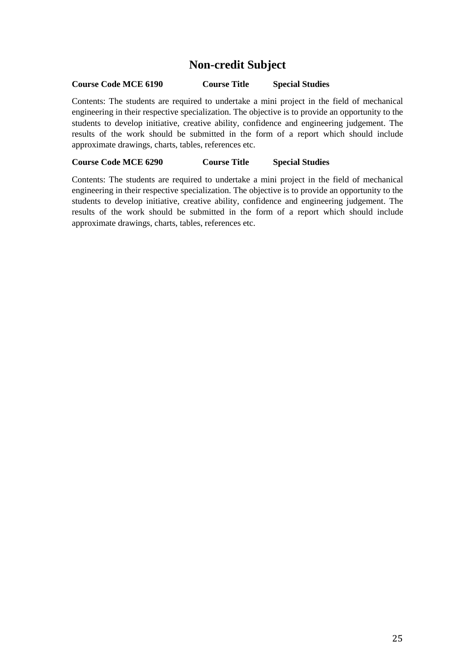# **Non-credit Subject**

# **Course Code MCE 6190 Course Title Special Studies**

Contents: The students are required to undertake a mini project in the field of mechanical engineering in their respective specialization. The objective is to provide an opportunity to the students to develop initiative, creative ability, confidence and engineering judgement. The results of the work should be submitted in the form of a report which should include approximate drawings, charts, tables, references etc.

# **Course Code MCE 6290 Course Title Special Studies**

Contents: The students are required to undertake a mini project in the field of mechanical engineering in their respective specialization. The objective is to provide an opportunity to the students to develop initiative, creative ability, confidence and engineering judgement. The results of the work should be submitted in the form of a report which should include approximate drawings, charts, tables, references etc.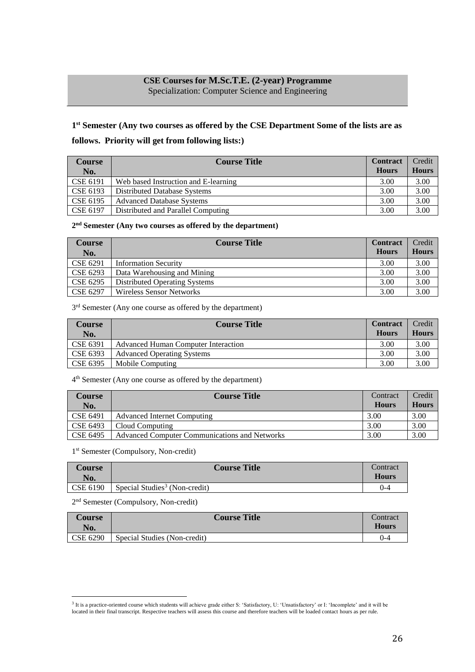# **CSE Courses for M.Sc.T.E. (2-year) Programme**

Specialization: Computer Science and Engineering

# **1 st Semester (Any two courses as offered by the CSE Department Some of the lists are as**

# **follows. Priority will get from following lists:)**

| <b>Course</b><br>No. | <b>Course Title</b>                  | <b>Contract</b><br><b>Hours</b> | Credit<br><b>Hours</b> |
|----------------------|--------------------------------------|---------------------------------|------------------------|
| CSE 6191             | Web based Instruction and E-learning | 3.00                            | 3.00                   |
| CSE 6193             | <b>Distributed Database Systems</b>  | 3.00                            | 3.00                   |
| CSE 6195             | <b>Advanced Database Systems</b>     | 3.00                            | 3.00                   |
| CSE 6197             | Distributed and Parallel Computing   | 3.00                            | 3.00                   |

#### **2 nd Semester (Any two courses as offered by the department)**

| Course<br>No. | <b>Course Title</b>             | <b>Contract</b><br><b>Hours</b> | Credit<br><b>Hours</b> |
|---------------|---------------------------------|---------------------------------|------------------------|
| CSE 6291      | <b>Information Security</b>     | 3.00                            | 3.00                   |
| CSE 6293      | Data Warehousing and Mining     | 3.00                            | 3.00                   |
| CSE 6295      | Distributed Operating Systems   | 3.00                            | 3.00                   |
| CSE 6297      | <b>Wireless Sensor Networks</b> | 3.00                            | 3.00                   |

#### 3<sup>rd</sup> Semester (Any one course as offered by the department)

| <b>Course</b><br>No. | <b>Course Title</b>                 | <b>Contract</b><br><b>Hours</b> | Credit<br><b>Hours</b> |
|----------------------|-------------------------------------|---------------------------------|------------------------|
| CSE 6391             | Advanced Human Computer Interaction | 3.00                            | 3.00                   |
| CSE 6393             | <b>Advanced Operating Systems</b>   | 3.00                            | 3.00                   |
| CSE 6395             | Mobile Computing                    | 3.00                            | 3.00                   |

#### 4 th Semester (Any one course as offered by the department)

| <b>Course</b><br>No. | <b>Course Title</b>                                  | Contract<br><b>Hours</b> | Credit<br><b>Hours</b> |
|----------------------|------------------------------------------------------|--------------------------|------------------------|
| CSE 6491             | Advanced Internet Computing                          | 3.00                     | 3.00                   |
| CSE 6493             | Cloud Computing                                      | 3.00                     | 3.00                   |
| <b>CSE 6495</b>      | <b>Advanced Computer Communications and Networks</b> | 3.00                     | 3.00                   |

#### 1 st Semester (Compulsory, Non-credit)

| <b>Course</b><br>No.  | <b>Course Title</b>                       | Contract<br><b>Hours</b> |
|-----------------------|-------------------------------------------|--------------------------|
| $\overline{CSE}$ 6190 | Special Studies <sup>3</sup> (Non-credit) | $0 - 4$                  |

#### 2<sup>nd</sup> Semester (Compulsory, Non-credit)

 $\overline{a}$ 

| <b>Course</b><br>No. | <b>Course Title</b>          | Contract<br><b>Hours</b> |
|----------------------|------------------------------|--------------------------|
| CSE 6290             | Special Studies (Non-credit) | $0 - 4$                  |

<sup>&</sup>lt;sup>3</sup> It is a practice-oriented course which students will achieve grade either S: 'Satisfactory, U: 'Unsatisfactory' or I: 'Incomplete' and it will be located in their final transcript. Respective teachers will assess this course and therefore teachers will be loaded contact hours as per rule.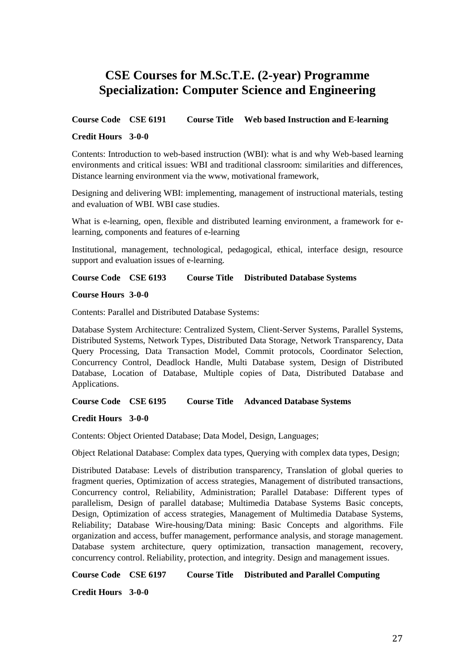# **CSE Courses for M.Sc.T.E. (2-year) Programme Specialization: Computer Science and Engineering**

# **Course Code CSE 6191 Course Title Web based Instruction and E-learning**

# **Credit Hours 3-0-0**

Contents: Introduction to web-based instruction (WBI): what is and why Web-based learning environments and critical issues: WBI and traditional classroom: similarities and differences, Distance learning environment via the www, motivational framework,

Designing and delivering WBI: implementing, management of instructional materials, testing and evaluation of WBI. WBI case studies.

What is e-learning, open, flexible and distributed learning environment, a framework for elearning, components and features of e-learning

Institutional, management, technological, pedagogical, ethical, interface design, resource support and evaluation issues of e-learning.

**Course Code CSE 6193 Course Title Distributed Database Systems**

#### **Course Hours 3-0-0**

Contents: Parallel and Distributed Database Systems:

Database System Architecture: Centralized System, Client-Server Systems, Parallel Systems, Distributed Systems, Network Types, Distributed Data Storage, Network Transparency, Data Query Processing, Data Transaction Model, Commit protocols, Coordinator Selection, Concurrency Control, Deadlock Handle, Multi Database system, Design of Distributed Database, Location of Database, Multiple copies of Data, Distributed Database and Applications.

**Course Code CSE 6195 Course Title Advanced Database Systems**

**Credit Hours 3-0-0**

Contents: Object Oriented Database; Data Model, Design, Languages;

Object Relational Database: Complex data types, Querying with complex data types, Design;

Distributed Database: Levels of distribution transparency, Translation of global queries to fragment queries, Optimization of access strategies, Management of distributed transactions, Concurrency control, Reliability, Administration; Parallel Database: Different types of parallelism, Design of parallel database; Multimedia Database Systems Basic concepts, Design, Optimization of access strategies, Management of Multimedia Database Systems, Reliability; Database Wire-housing/Data mining: Basic Concepts and algorithms. File organization and access, buffer management, performance analysis, and storage management. Database system architecture, query optimization, transaction management, recovery, concurrency control. Reliability, protection, and integrity. Design and management issues.

**Course Code CSE 6197 Course Title Distributed and Parallel Computing**

**Credit Hours 3-0-0**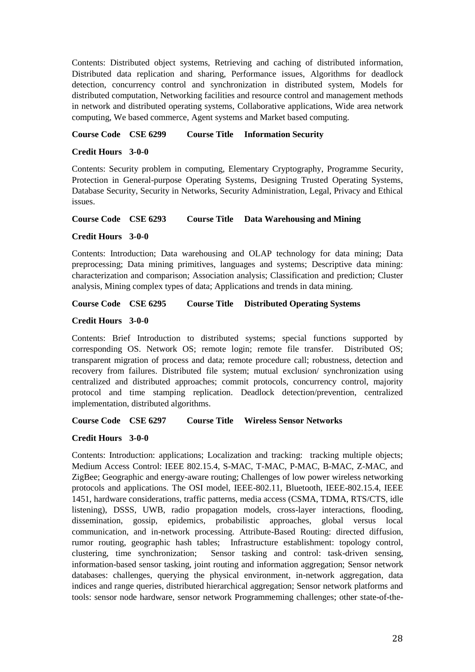Contents: Distributed object systems, Retrieving and caching of distributed information, Distributed data replication and sharing, Performance issues, Algorithms for deadlock detection, concurrency control and synchronization in distributed system, Models for distributed computation, Networking facilities and resource control and management methods in network and distributed operating systems, Collaborative applications, Wide area network computing, We based commerce, Agent systems and Market based computing.

# **Course Code CSE 6299 Course Title Information Security**

#### **Credit Hours 3-0-0**

Contents: Security problem in computing, Elementary Cryptography, Programme Security, Protection in General-purpose Operating Systems, Designing Trusted Operating Systems, Database Security, Security in Networks, Security Administration, Legal, Privacy and Ethical issues.

**Course Code CSE 6293 Course Title Data Warehousing and Mining**

# **Credit Hours 3-0-0**

Contents: Introduction; Data warehousing and OLAP technology for data mining; Data preprocessing; Data mining primitives, languages and systems; Descriptive data mining: characterization and comparison; Association analysis; Classification and prediction; Cluster analysis, Mining complex types of data; Applications and trends in data mining.

**Course Code CSE 6295 Course Title Distributed Operating Systems**

# **Credit Hours 3-0-0**

Contents: Brief Introduction to distributed systems; special functions supported by corresponding OS. Network OS; remote login; remote file transfer. Distributed OS; transparent migration of process and data; remote procedure call; robustness, detection and recovery from failures. Distributed file system; mutual exclusion/ synchronization using centralized and distributed approaches; commit protocols, concurrency control, majority protocol and time stamping replication. Deadlock detection/prevention, centralized implementation, distributed algorithms.

**Course Code CSE 6297 Course Title Wireless Sensor Networks**

# **Credit Hours 3-0-0**

Contents: Introduction: applications; Localization and tracking: tracking multiple objects; Medium Access Control: IEEE 802.15.4, S-MAC, T-MAC, P-MAC, B-MAC, Z-MAC, and ZigBee; Geographic and energy-aware routing; Challenges of low power wireless networking protocols and applications. The OSI model, IEEE-802.11, Bluetooth, IEEE-802.15.4, IEEE 1451, hardware considerations, traffic patterns, media access (CSMA, TDMA, RTS/CTS, idle listening), DSSS, UWB, radio propagation models, cross-layer interactions, flooding, dissemination, gossip, epidemics, probabilistic approaches, global versus local communication, and in-network processing. Attribute-Based Routing: directed diffusion, rumor routing, geographic hash tables; Infrastructure establishment: topology control, clustering, time synchronization; Sensor tasking and control: task-driven sensing, information-based sensor tasking, joint routing and information aggregation; Sensor network databases: challenges, querying the physical environment, in-network aggregation, data indices and range queries, distributed hierarchical aggregation; Sensor network platforms and tools: sensor node hardware, sensor network Programmeming challenges; other state-of-the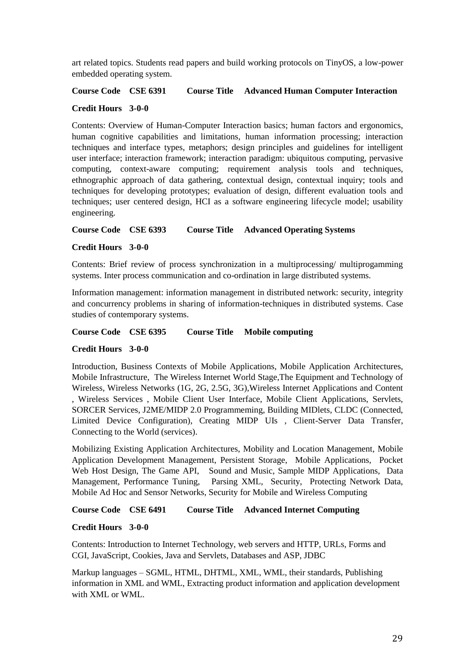art related topics. Students read papers and build working protocols on TinyOS, a low-power embedded operating system.

#### **Course Code CSE 6391 Course Title Advanced Human Computer Interaction**

#### **Credit Hours 3-0-0**

Contents: Overview of Human-Computer Interaction basics; human factors and ergonomics, human cognitive capabilities and limitations, human information processing; interaction techniques and interface types, metaphors; design principles and guidelines for intelligent user interface; interaction framework; interaction paradigm: ubiquitous computing, pervasive computing, context-aware computing; requirement analysis tools and techniques, ethnographic approach of data gathering, contextual design, contextual inquiry; tools and techniques for developing prototypes; evaluation of design, different evaluation tools and techniques; user centered design, HCI as a software engineering lifecycle model; usability engineering.

# **Course Code CSE 6393 Course Title Advanced Operating Systems**

# **Credit Hours 3-0-0**

Contents: Brief review of process synchronization in a multiprocessing/ multiprogamming systems. Inter process communication and co-ordination in large distributed systems.

Information management: information management in distributed network: security, integrity and concurrency problems in sharing of information-techniques in distributed systems. Case studies of contemporary systems.

#### **Course Code CSE 6395 Course Title Mobile computing**

#### **Credit Hours 3-0-0**

Introduction, Business Contexts of Mobile Applications, Mobile Application Architectures, Mobile Infrastructure, The Wireless Internet World Stage,The Equipment and Technology of Wireless, Wireless Networks (1G, 2G, 2.5G, 3G),Wireless Internet Applications and Content , Wireless Services , Mobile Client User Interface, Mobile Client Applications, Servlets, SORCER Services, J2ME/MIDP 2.0 Programmeming, Building MIDlets, CLDC (Connected, Limited Device Configuration), Creating MIDP UIs , Client-Server Data Transfer, Connecting to the World (services).

Mobilizing Existing Application Architectures, Mobility and Location Management, Mobile Application Development Management, Persistent Storage, Mobile Applications, Pocket Web Host Design, The Game API, Sound and Music, Sample MIDP Applications, Data Management, Performance Tuning, Parsing XML, Security, Protecting Network Data, Mobile Ad Hoc and Sensor Networks, Security for Mobile and Wireless Computing

**Course Code CSE 6491 Course Title Advanced Internet Computing**

#### **Credit Hours 3-0-0**

Contents: Introduction to Internet Technology, web servers and HTTP, URLs, Forms and CGI, JavaScript, Cookies, Java and Servlets, Databases and ASP, JDBC

Markup languages – SGML, HTML, DHTML, XML, WML, their standards, Publishing information in XML and WML, Extracting product information and application development with XML or WML.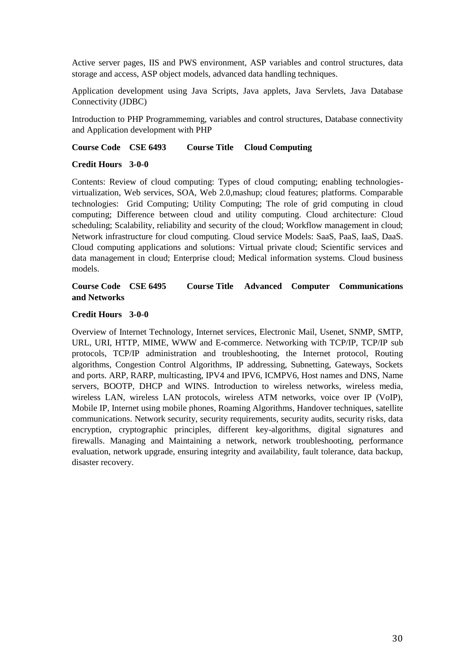Active server pages, IIS and PWS environment, ASP variables and control structures, data storage and access, ASP object models, advanced data handling techniques.

Application development using Java Scripts, Java applets, Java Servlets, Java Database Connectivity (JDBC)

Introduction to PHP Programmeming, variables and control structures, Database connectivity and Application development with PHP

#### **Course Code CSE 6493 Course Title Cloud Computing**

#### **Credit Hours 3-0-0**

Contents: Review of cloud computing: Types of cloud computing; enabling technologiesvirtualization, Web services, SOA, Web 2.0,mashup; cloud features; platforms. Comparable technologies: Grid Computing; Utility Computing; The role of grid computing in cloud computing; Difference between cloud and utility computing. Cloud architecture: Cloud scheduling; Scalability, reliability and security of the cloud; Workflow management in cloud; Network infrastructure for cloud computing. Cloud service Models: SaaS, PaaS, IaaS, DaaS. Cloud computing applications and solutions: Virtual private cloud; Scientific services and data management in cloud; Enterprise cloud; Medical information systems. Cloud business models.

# **Course Code CSE 6495 Course Title Advanced Computer Communications and Networks**

# **Credit Hours 3-0-0**

Overview of Internet Technology, Internet services, Electronic Mail, Usenet, SNMP, SMTP, URL, URI, HTTP, MIME, WWW and E-commerce. Networking with TCP/IP, TCP/IP sub protocols, TCP/IP administration and troubleshooting, the Internet protocol, Routing algorithms, Congestion Control Algorithms, IP addressing, Subnetting, Gateways, Sockets and ports. ARP, RARP, multicasting, IPV4 and IPV6, ICMPV6, Host names and DNS, Name servers, BOOTP, DHCP and WINS. Introduction to wireless networks, wireless media, wireless LAN, wireless LAN protocols, wireless ATM networks, voice over IP (VoIP), Mobile IP, Internet using mobile phones, Roaming Algorithms, Handover techniques, satellite communications. Network security, security requirements, security audits, security risks, data encryption, cryptographic principles, different key-algorithms, digital signatures and firewalls. Managing and Maintaining a network, network troubleshooting, performance evaluation, network upgrade, ensuring integrity and availability, fault tolerance, data backup, disaster recovery.